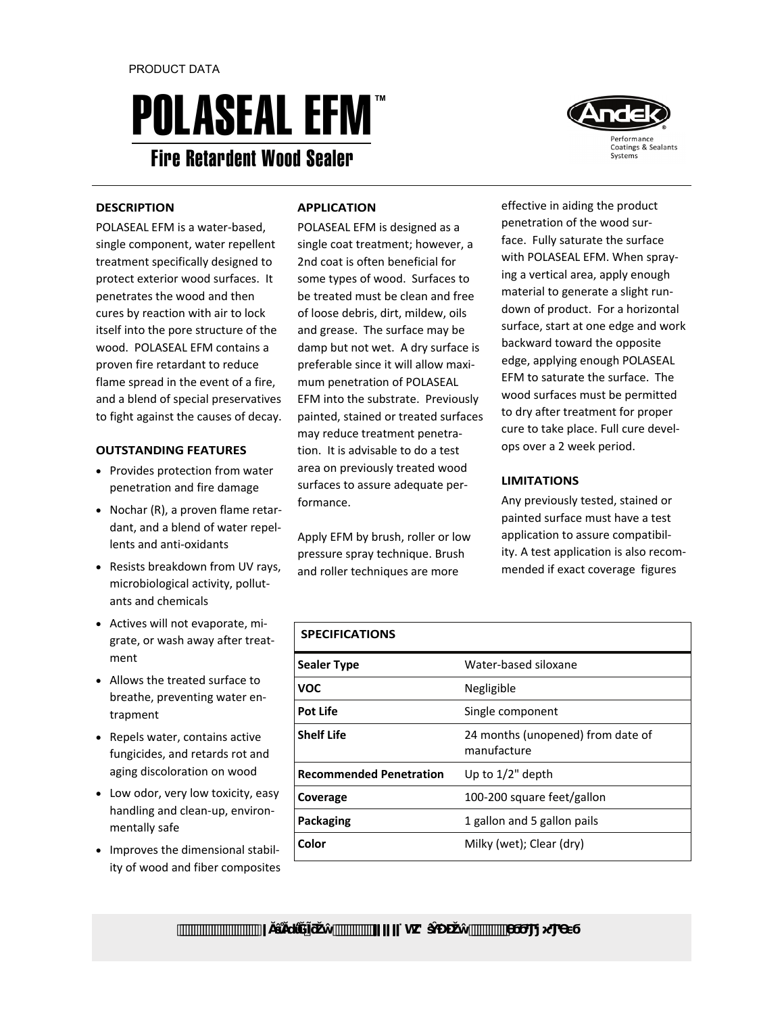# **POLASEAL EFM** Fire Retardent Wood Sealer



### **DESCRIPTION**

POLASEAL EFM is a water‐based, single component, water repellent treatment specifically designed to protect exterior wood surfaces. It penetrates the wood and then cures by reaction with air to lock itself into the pore structure of the wood. POLASEAL EFM contains a proven fire retardant to reduce flame spread in the event of a fire, and a blend of special preservatives to fight against the causes of decay.

## **OUTSTANDING FEATURES**

- Provides protection from water penetration and fire damage
- Nochar (R), a proven flame retar‐ dant, and a blend of water repel‐ lents and anti‐oxidants
- Resists breakdown from UV rays, microbiological activity, pollut‐ ants and chemicals
- Actives will not evaporate, migrate, or wash away after treat‐ ment
- Allows the treated surface to breathe, preventing water en‐ trapment
- Repels water, contains active fungicides, and retards rot and aging discoloration on wood
- Low odor, very low toxicity, easy handling and clean‐up, environ‐ mentally safe
- Improves the dimensional stability of wood and fiber composites

## **APPLICATION**

POLASEAL EFM is designed as a single coat treatment; however, a 2nd coat is often beneficial for some types of wood. Surfaces to be treated must be clean and free of loose debris, dirt, mildew, oils and grease. The surface may be damp but not wet. A dry surface is preferable since it will allow maxi‐ mum penetration of POLASEAL EFM into the substrate. Previously painted, stained or treated surfaces may reduce treatment penetra‐ tion. It is advisable to do a test area on previously treated wood surfaces to assure adequate per‐ formance.

Apply EFM by brush, roller or low pressure spray technique. Brush and roller techniques are more

effective in aiding the product penetration of the wood sur‐ face. Fully saturate the surface with POLASEAL EFM. When spray‐ ing a vertical area, apply enough material to generate a slight run‐ down of product. For a horizontal surface, start at one edge and work backward toward the opposite edge, applying enough POLASEAL EFM to saturate the surface. The wood surfaces must be permitted to dry after treatment for proper cure to take place. Full cure devel‐ ops over a 2 week period.

## **LIMITATIONS**

Any previously tested, stained or painted surface must have a test application to assure compatibil‐ ity. A test application is also recom‐ mended if exact coverage figures

| <b>SPECIFICATIONS</b>          |                                                  |
|--------------------------------|--------------------------------------------------|
| <b>Sealer Type</b>             | Water-based siloxane                             |
| <b>VOC</b>                     | Negligible                                       |
| <b>Pot Life</b>                | Single component                                 |
| <b>Shelf Life</b>              | 24 months (unopened) from date of<br>manufacture |
| <b>Recommended Penetration</b> | Up to $1/2$ " depth                              |
| Coverage                       | 100-200 square feet/gallon                       |
| Packaging                      | 1 gallon and 5 gallon pails                      |
| Color                          | Milky (wet); Clear (dry)                         |